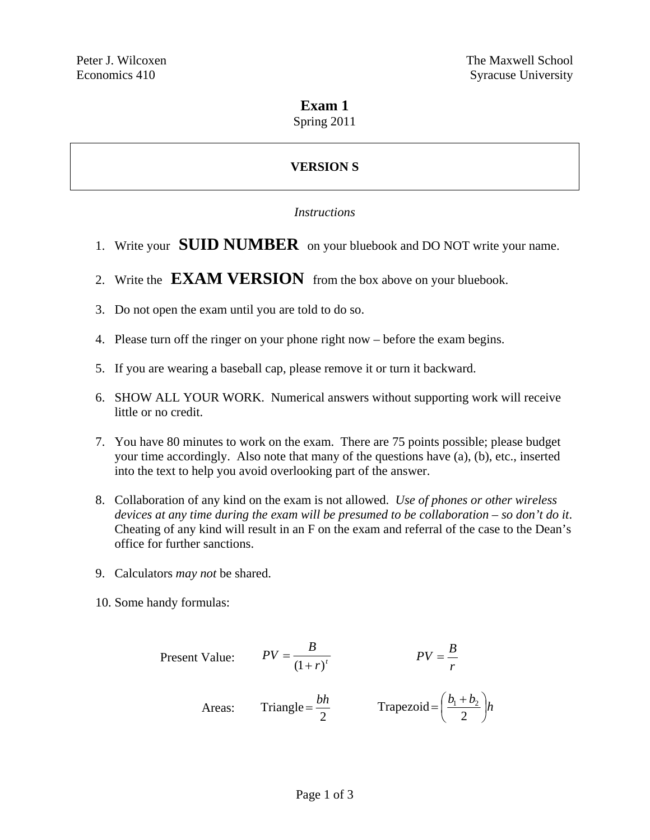## **Exam 1**

Spring 2011

# **VERSION S**

#### *Instructions*

- 1. Write your **SUID NUMBER** on your bluebook and DO NOT write your name.
- 2. Write the **EXAM VERSION** from the box above on your bluebook.
- 3. Do not open the exam until you are told to do so.
- 4. Please turn off the ringer on your phone right now before the exam begins.
- 5. If you are wearing a baseball cap, please remove it or turn it backward.
- 6. SHOW ALL YOUR WORK. Numerical answers without supporting work will receive little or no credit.
- 7. You have 80 minutes to work on the exam. There are 75 points possible; please budget your time accordingly. Also note that many of the questions have (a), (b), etc., inserted into the text to help you avoid overlooking part of the answer.
- 8. Collaboration of any kind on the exam is not allowed. *Use of phones or other wireless devices at any time during the exam will be presumed to be collaboration – so don't do it*. Cheating of any kind will result in an F on the exam and referral of the case to the Dean's office for further sanctions.
- 9. Calculators *may not* be shared.
- 10. Some handy formulas:

Present Value: 
$$
PV = \frac{B}{(1+r)^t}
$$
  $PV = \frac{B}{r}$   
Areas: Triangle =  $\frac{bh}{2}$  Trapezoid =  $(\frac{b_1 + b_2}{2})h$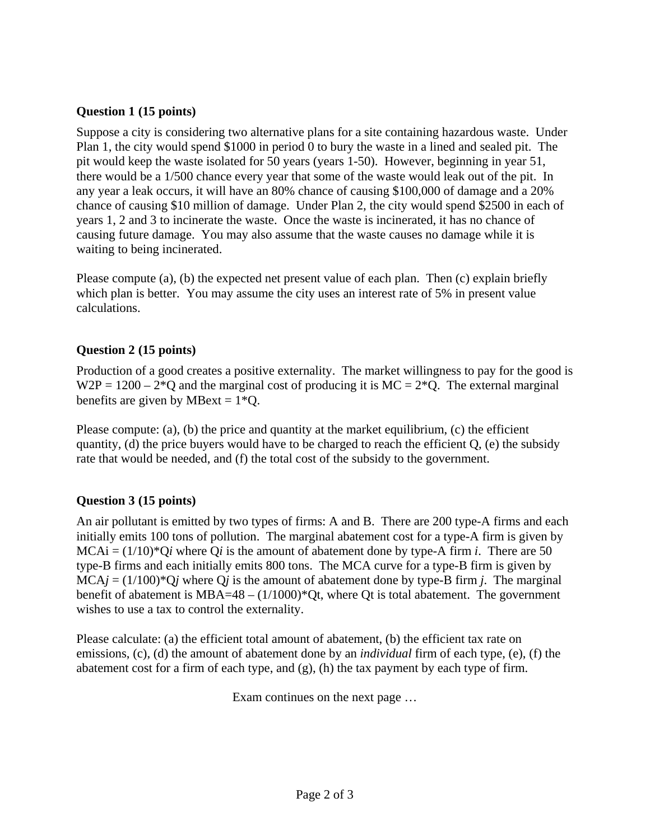#### **Question 1 (15 points)**

Suppose a city is considering two alternative plans for a site containing hazardous waste. Under Plan 1, the city would spend \$1000 in period 0 to bury the waste in a lined and sealed pit. The pit would keep the waste isolated for 50 years (years 1-50). However, beginning in year 51, there would be a 1/500 chance every year that some of the waste would leak out of the pit. In any year a leak occurs, it will have an 80% chance of causing \$100,000 of damage and a 20% chance of causing \$10 million of damage. Under Plan 2, the city would spend \$2500 in each of years 1, 2 and 3 to incinerate the waste. Once the waste is incinerated, it has no chance of causing future damage. You may also assume that the waste causes no damage while it is waiting to being incinerated.

Please compute (a), (b) the expected net present value of each plan. Then (c) explain briefly which plan is better. You may assume the city uses an interest rate of 5% in present value calculations.

#### **Question 2 (15 points)**

Production of a good creates a positive externality. The market willingness to pay for the good is  $W2P = 1200 - 2*Q$  and the marginal cost of producing it is  $MC = 2*Q$ . The external marginal benefits are given by MBext =  $1*Q$ .

Please compute: (a), (b) the price and quantity at the market equilibrium, (c) the efficient quantity, (d) the price buyers would have to be charged to reach the efficient  $Q$ , (e) the subsidy rate that would be needed, and (f) the total cost of the subsidy to the government.

#### **Question 3 (15 points)**

An air pollutant is emitted by two types of firms: A and B. There are 200 type-A firms and each initially emits 100 tons of pollution. The marginal abatement cost for a type-A firm is given by  $MCAi = (1/10)^*Qi$  where  $Qi$  is the amount of abatement done by type-A firm *i*. There are 50 type-B firms and each initially emits 800 tons. The MCA curve for a type-B firm is given by  $MCA<sub>j</sub> = (1/100)<sup>*</sup>Q<sub>j</sub>$  where Q<sub>j</sub> is the amount of abatement done by type-B firm *j*. The marginal benefit of abatement is  $MBA=48 - (1/1000)^*Qt$ , where Qt is total abatement. The government wishes to use a tax to control the externality.

Please calculate: (a) the efficient total amount of abatement, (b) the efficient tax rate on emissions, (c), (d) the amount of abatement done by an *individual* firm of each type, (e), (f) the abatement cost for a firm of each type, and (g), (h) the tax payment by each type of firm.

Exam continues on the next page …